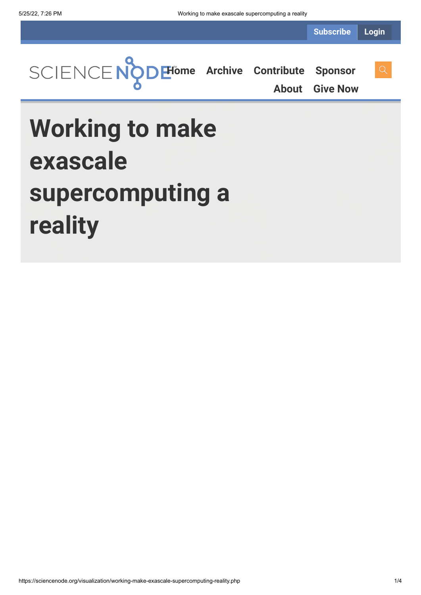**Subscribe Login**



**[About](https://sciencenode.org/about/index.php) [Give Now](https://sciencenode.org/donate/index.php)**

# **Working to make exascale supercomputing a reality**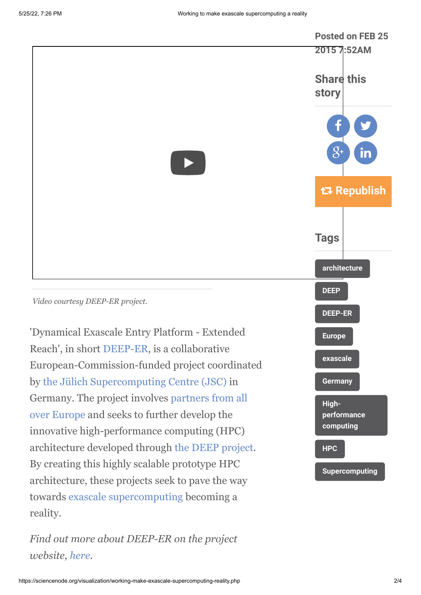

towards [exascale supercomputing](http://www.isgtw.org/advanced-search/results/exascale%20content_type%253Afeature) becoming a

*Find out more about DEEP-ER on the project*

reality.

*website, [here](http://www.deep-er.eu/).*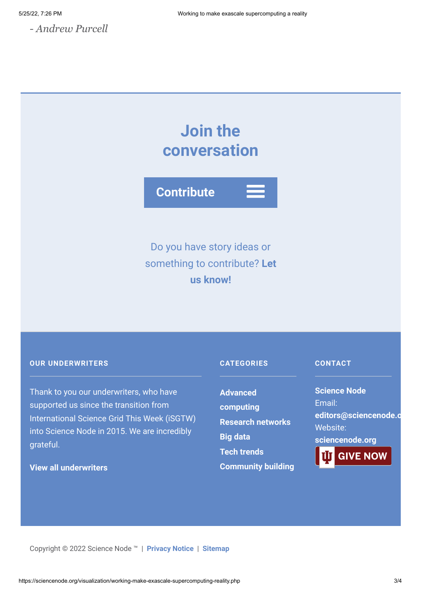*- Andrew Purcell*

## **Join the conversation**



Do you have story ideas or something to contribute? **Let us know!**

#### **OUR UNDERWRITERS**

Thank to you our underwriters, who have supported us since the transition from International Science Grid This Week (iSGTW) into Science Node in 2015. We are incredibly grateful.

### **[View all underwriters](https://sciencenode.org/about/index.php)**

#### **CATEGORIES**

**Advanced [computing](https://sciencenode.org/archive/?year=2016&category=Advanced%20computing) [Research networks](https://sciencenode.org/archive/?year=2016&category=Advanced%20computing&category=Research%20networks) [Big data](https://sciencenode.org/archive/?year=2016&category=Advanced%20computing&category=Research%20networks&category=Big%20data) [Tech trends](https://sciencenode.org/archive/?year=2016&category=Advanced%20computing&category=Research%20networks&category=Big%20data&category=Tech%20trends) [Community building](https://sciencenode.org/archive/?year=2016&category=Advanced%20computing&category=Research%20networks&category=Big%20data&category=Tech%20trends&category=Community%20building)**

#### **CONTACT**

**Science Node** Email: **[editors@sciencenode.o](mailto:edit%6F%72s@s%63%69encenode.%6F%72%67)** Website: **[sciencenode.org](https://sciencenode.org/) GIVE NOW** 

Copyright © 2022 Science Node ™ | **[Privacy Notice](https://sciencenode.org/privacy/index.php)** | **[Sitemap](https://sciencenode.org/sitemap/index.php)**